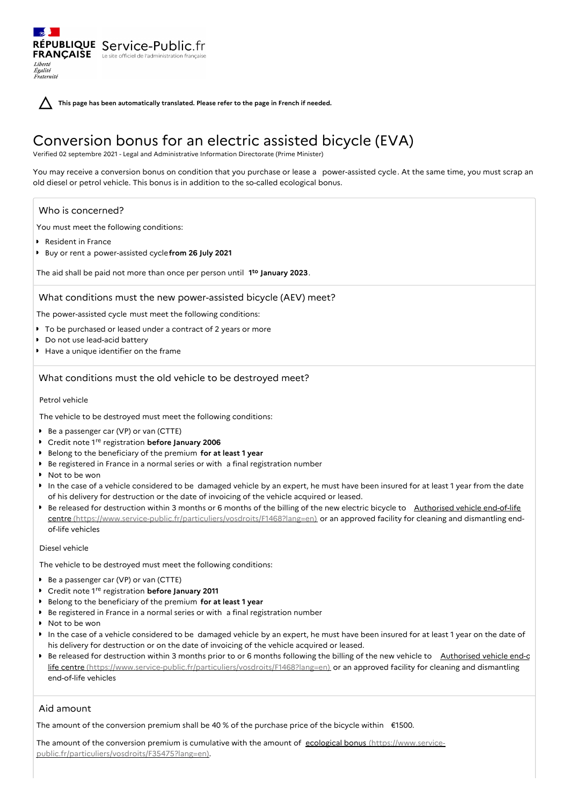Fraternité

**This page has been automatically translated. Please refer to the page in French if needed.**

# Conversion bonus for an electric assisted bicycle (EVA)

Verified 02 septembre 2021 - Legal and Administrative Information Directorate (Prime Minister)

You may receive a conversion bonus on condition that you purchase or lease a power-assisted cycle. At the same time, you must scrap an old diesel or petrol vehicle. This bonus is in addition to the so-called ecological bonus.

## Who is concerned?

Liberté Égalité

You must meet the following conditions:

RÉPUBLIQUE Service-Public.fr **FRANÇAISE** Le site officiel de l'administration fran

- Resident in France
- Buy or rent a power-assisted cycle**from 26 July 2021**

The aid shall be paid not more than once per person until 1<sup>to</sup> January 2023.

## What conditions must the new power-assisted bicycle (AEV) meet?

The power-assisted cycle must meet the following conditions:

- To be purchased or leased under a contract of 2 years or more
- Do not use lead-acid battery
- Have a unique identifier on the frame

## What conditions must the old vehicle to be destroyed meet?

### Petrol vehicle

The vehicle to be destroyed must meet the following conditions:

- Be a passenger car (VP) or van (CTTE)
- Credit note 1<sup>re</sup> registration **before January 2006**
- Belong to the beneficiary of the premium **for at least 1 year**
- Be registered in France in a normal series or with a final registration number
- Not to be won
- In the case of a vehicle considered to be damaged vehicle by an expert, he must have been insured for at least 1 year from the date of his delivery for destruction or the date of invoicing of the vehicle acquired or leased.
- Be released for destruction within 3 months or 6 months of the billing of the new electric bicycle to Authorised vehicle end-of-life centre [\(https://www.service-public.fr/particuliers/vosdroits/F1468?lang=en\)](https://www.service-public.fr/particuliers/vosdroits/F1468?lang=en) or an approved facility for cleaning and dismantling endof-life vehicles

## Diesel vehicle

The vehicle to be destroyed must meet the following conditions:

- Be a passenger car (VP) or van (CTTE)
- Credit note 1<sup>re</sup> registration **before January 2011**
- Belong to the beneficiary of the premium **for at least 1 year**
- Be registered in France in a normal series or with a final registration number
- Not to be won
- In the case of a vehicle considered to be damaged vehicle by an expert, he must have been insured for at least 1 year on the date of his delivery for destruction or on the date of invoicing of the vehicle acquired or leased.
- Be released for destruction within 3 months prior to or 6 months following the billing of the new vehicle to Authorised vehicle end-c life centre [\(https://www.service-public.fr/particuliers/vosdroits/F1468?lang=en\)](https://www.service-public.fr/particuliers/vosdroits/F1468?lang=en) or an approved facility for cleaning and dismantling end-of-life vehicles

# Aid amount

The amount of the conversion premium shall be 40 % of the purchase price of the bicycle within €1500.

The amount of the conversion premium is cumulative with the amount of ecological bonus (https://www.service[public.fr/particuliers/vosdroits/F35475?lang=en\).](https://www.service-public.fr/particuliers/vosdroits/F35475?lang=en)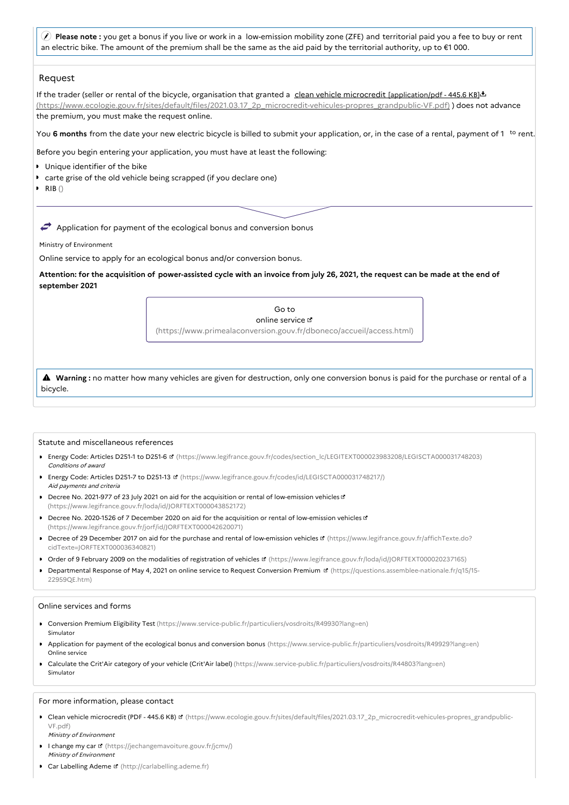**Please note :** you get a bonus if you live or work in a low-emission mobility zone (ZFE) and territorial paid you a fee to buy or rent an electric bike. The amount of the premium shall be the same as the aid paid by the territorial authority, up to €1 000.

# Request

If the trader (seller or rental of the bicycle, organisation that granted a clean vehicle microcredit [application/pdf - 445.6 KB]. [\(https://www.ecologie.gouv.fr/sites/default/files/2021.03.17\\_2p\\_microcredit-vehicules-propres\\_grandpublic-VF.pdf\)](https://www.ecologie.gouv.fr/sites/default/files/2021.03.17_2p_microcredit-vehicules-propres_grandpublic-VF.pdf) ) does not advance the premium, you must make the request online.

You 6 months from the date your new electric bicycle is billed to submit your application, or, in the case of a rental, payment of 1 <sup>to</sup> rent.

Before you begin entering your application, you must have at least the following:

Unique identifier of the bike

- carte grise of the old vehicle being scrapped (if you declare one)
- $\triangleright$  RIB()

 $\rightarrow$  Application for payment of the ecological bonus and conversion bonus

Ministry of Environment

Online service to apply for an ecological bonus and/or conversion bonus.

Attention: for the acquisition of power-assisted cycle with an invoice from july 26, 2021, the request can be made at the end of **september 2021**

> Go to online service [\(https://www.primealaconversion.gouv.fr/dboneco/accueil/access.html\)](https://www.primealaconversion.gouv.fr/dboneco/accueil/access.html)

 **Warning :** no matter how many vehicles are given for destruction, only one conversion bonus is paid for the purchase or rental of <sup>a</sup> bicycle.

#### Statute and miscellaneous references

- Energy Code: Articles D251-1 to D251-6 **¤** [\(https://www.legifrance.gouv.fr/codes/section\\_lc/LEGITEXT000023983208/LEGISCTA000031748203\)](https://www.legifrance.gouv.fr/codes/section_lc/LEGITEXT000023983208/LEGISCTA000031748203) Conditions of award
- Energy Code: Articles D251-7 to D251-13 [\(https://www.legifrance.gouv.fr/codes/id/LEGISCTA000031748217/\)](https://www.legifrance.gouv.fr/codes/id/LEGISCTA000031748217/) Aid payments and criteria
- Decree No. 2021-977 of 23 July 2021 on aid for the acquisition or rental of low-emission vehicles of [\(https://www.legifrance.gouv.fr/loda/id/JORFTEXT000043852172\)](https://www.legifrance.gouv.fr/loda/id/JORFTEXT000043852172)
- Decree No. 2020-1526 of 7 December 2020 on aid for the acquisition or rental of low-emission vehicles L' [\(https://www.legifrance.gouv.fr/jorf/id/JORFTEXT000042620071\)](https://www.legifrance.gouv.fr/jorf/id/JORFTEXT000042620071)
- Decree of 29 December 2017 on aid for the purchase and rental of low-emission vehicles ¤ [\(https://www.legifrance.gouv.fr/affichTexte.do?](https://www.legifrance.gouv.fr/affichTexte.do?cidTexte=JORFTEXT000036340821) cidTexte=JORFTEXT000036340821)
- Order of 9 February 2009 on the modalities of registration of vehicles [\(https://www.legifrance.gouv.fr/loda/id/JORFTEXT000020237165\)](https://www.legifrance.gouv.fr/loda/id/JORFTEXT000020237165)
- Departmental Response of May 4, 2021 on online service to Request Conversion Premium **B** [\(https://questions.assemblee-nationale.fr/q15/15-](https://questions.assemblee-nationale.fr/q15/15-22959QE.htm) 22959QE.htm)

#### Online services and forms

- Conversion Premium Eligibility Test [\(https://www.service-public.fr/particuliers/vosdroits/R49930?lang=en\)](https://www.service-public.fr/particuliers/vosdroits/R49930?lang=en) Simulator
- Application for payment of the ecological bonus and conversion bonus [\(https://www.service-public.fr/particuliers/vosdroits/R49929?lang=en\)](https://www.service-public.fr/particuliers/vosdroits/R49929?lang=en) Online service
- Calculate the Crit'Air category of your vehicle (Crit'Air label) [\(https://www.service-public.fr/particuliers/vosdroits/R44803?lang=en\)](https://www.service-public.fr/particuliers/vosdroits/R44803?lang=en) Simulator

#### For more information, please contact

- Clean vehicle microcredit (PDF 445.6 KB) は [\(https://www.ecologie.gouv.fr/sites/default/files/2021.03.17\\_2p\\_microcredit-vehicules-propres\\_grandpublic-](https://www.ecologie.gouv.fr/sites/default/files/2021.03.17_2p_microcredit-vehicules-propres_grandpublic-VF.pdf)VF.pdf) Ministry of Environment
- I change my car E [\(https://jechangemavoiture.gouv.fr/jcmv/\)](https://jechangemavoiture.gouv.fr/jcmv/) Ministry of Environment
- Car Labelling Ademe [\(http://carlabelling.ademe.fr\)](http://carlabelling.ademe.fr)